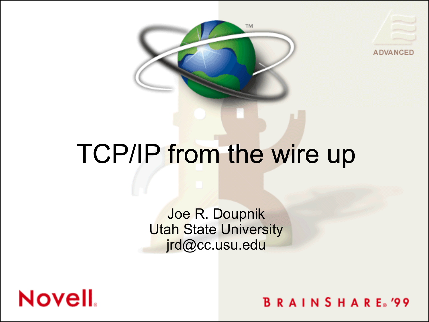



#### TCP/IP from the wire up

Joe R. Doupnik **Utah State University** jrd@cc.usu.edu



**BRAINSHARE**<sup>99</sup>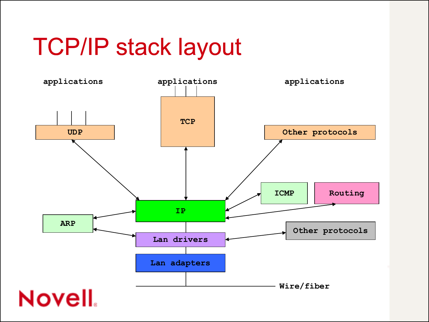### TCP/IP stack layout

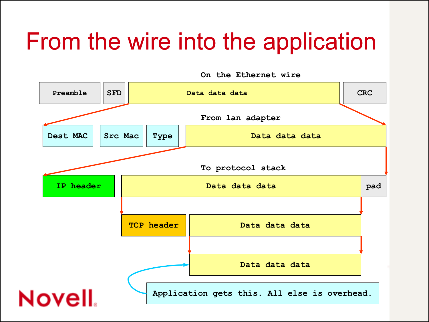### From the wire into the application

**Preamble SFD Data data data CRC From lan adapter Dest MAC** | Src Mac | Type | **Data data data data To protocol stack IP header Data data data pad TCP header Data data data Data data data** Novell. **Application gets this. All else is overhead.**

**On the Ethernet wire**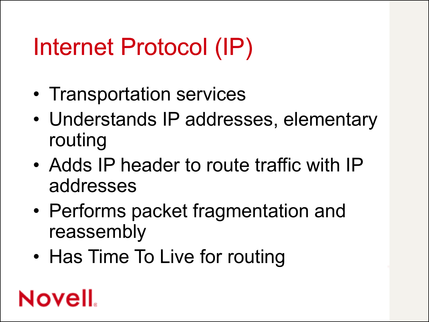# Internet Protocol (IP)

- Transportation services
- Understands IP addresses, elementary routing
- Adds IP header to route traffic with IP addresses
- Performs packet fragmentation and reassembly
- Has Time To Live for routing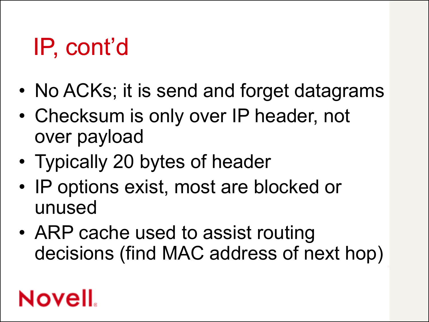### IP, cont'd

- No ACKs; it is send and forget datagrams
- Checksum is only over IP header, not over payload
- Typically 20 bytes of header
- IP options exist, most are blocked or unused
- ARP cache used to assist routing decisions (find MAC address of next hop)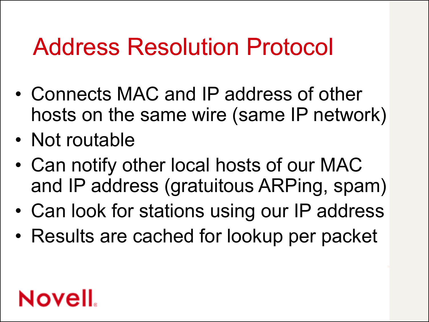#### Address Resolution Protocol

- Connects MAC and IP address of other hosts on the same wire (same IP network)
- Not routable
- Can notify other local hosts of our MAC and IP address (gratuitous ARPing, spam)
- Can look for stations using our IP address
- Results are cached for lookup per packet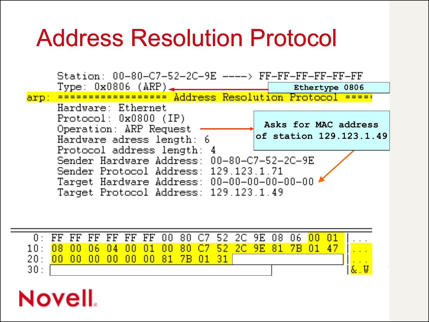#### Address Resolution Protocol



|                                                                                    |  |                               |  |  |  |  |  | 0: FF FF FF FF FF FF 00 80 C7 52 2C 9E 08 06 <mark>00 01</mark> |  |
|------------------------------------------------------------------------------------|--|-------------------------------|--|--|--|--|--|-----------------------------------------------------------------|--|
| 10: <mark>08  00  06  04  00  01  00  80  C7  52  2C  9E  81  7B  01  47   </mark> |  |                               |  |  |  |  |  |                                                                 |  |
| -20 H                                                                              |  | 00 00 00 00 00 00 81 7B 01 31 |  |  |  |  |  |                                                                 |  |
| 30:                                                                                |  |                               |  |  |  |  |  |                                                                 |  |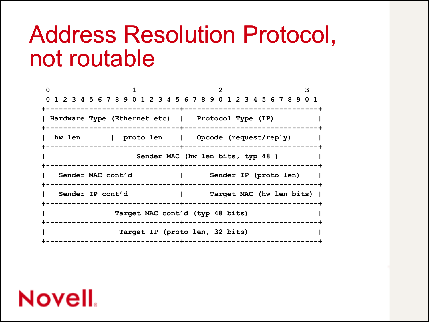#### Address Resolution Protocol, not routable

| 0 1 2 3 4 5 6 7 8 9 0 1 2 3 4 5 6 7 8 9 0 1 2 3 4 5 6 7 8 9 0 1<br>Hardware Type (Ethernet etc)   Protocol Type (IP)<br>hw len   proto len   Opcode (request/reply)<br>------+------- |  |
|---------------------------------------------------------------------------------------------------------------------------------------------------------------------------------------|--|
|                                                                                                                                                                                       |  |
|                                                                                                                                                                                       |  |
|                                                                                                                                                                                       |  |
|                                                                                                                                                                                       |  |
| Sender MAC (hw len bits, typ 48)<br>------+-------                                                                                                                                    |  |
| Sender MAC cont'd<br>Sender IP (proto len)                                                                                                                                            |  |
| Sender IP cont'd<br>Target MAC (hw len bits)                                                                                                                                          |  |
| Target MAC cont'd (typ 48 bits)                                                                                                                                                       |  |
| Target IP (proto len, 32 bits)<br>----+----                                                                                                                                           |  |

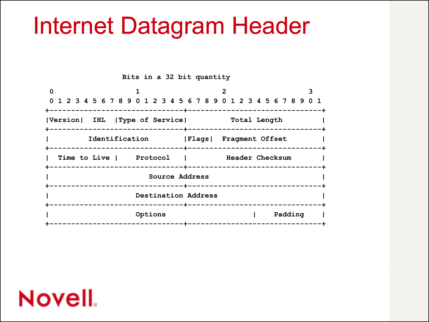#### Internet Datagram Header

**Bits in a 32 bit quantity**

|                                          | 0 1 2 3 4 5 6 7 8 9 0 1 2 3 4 5 6 7 8 9 0 1 2 3 4 5 6 7 8 9 0 1<br>---------+----------------------- |
|------------------------------------------|------------------------------------------------------------------------------------------------------|
| Version  IHL   Type of Service           | Total Length<br>------------+-------------                                                           |
| Identification                           | Flags  Fragment Offset<br>----------+------------                                                    |
| Time to Live   Protocol                  | Header Checksum<br>-------------------+----------------<br>--------                                  |
|                                          | Source Address                                                                                       |
|                                          | Destination Address<br>-------+------------------------                                              |
| Options<br>------------ <b>-</b> ------- | Padding<br>------------                                                                              |

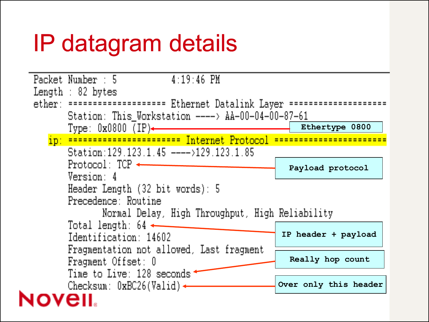### IP datagram details

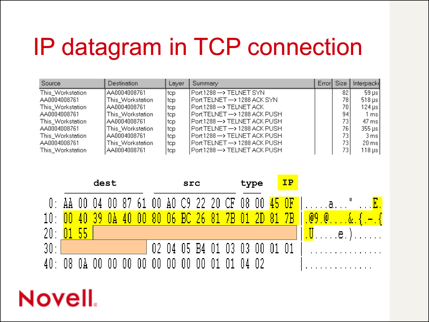### IP datagram in TCP connection

| Source           | Destination      | Layer | Summary                       | Error Size |      | Interpacki               |
|------------------|------------------|-------|-------------------------------|------------|------|--------------------------|
| This_Workstation | AA0004008761     | tcp   | Port:1288 --> TELNET SYN      |            | 82   | $59 \text{ }\mu\text{s}$ |
| AA0004008761     | This_Workstation | tcp   | Port:TELNET —> 1288 ACK SYN   |            | 78.  | $518 \,\mathrm{\mu s}$   |
| This_Workstation | AA0004008761     | ltcp. | Port:1288 —> TELNET ACK       |            | 70.  | $124 \mu s$              |
| AA0004008761     | This_Workstation | tcp   | Port:TELNET —> 1288 ACK PUSH  |            | 94 I | 1 msl                    |
| This_Workstation | AA0004008761     | ltcp. | Port:1288 —> TELNET ACK PUSH  |            | 73 I | 47 ms                    |
| AA0004008761     | This_Workstation | top   | Port:TELNET --> 1288 ACK PUSH |            | 76.  | $355 \,\mathrm{\mu s}$   |
| This_Workstation | AA0004008761     | ltcp  | Port:1288 --> TELNET ACK PUSH |            | 73 I | 3 ms                     |
| AA0004008761     | This_Workstation | top   | Port:TELNET --> 1288 ACK PUSH |            | 73.  | $20 \,\mathrm{ms}$       |
| This_Workstation | AA0004008761     | ltcp  | Port:1288 --> TELNET ACK PUSH |            | 73.  | $118 \,\mathrm{\mu s}$   |

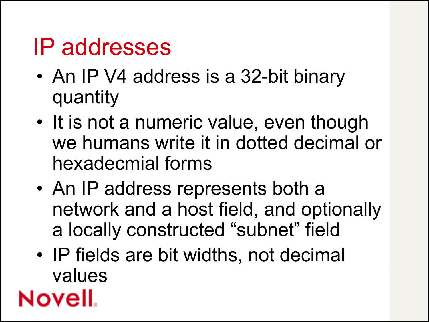#### IP addresses

- An IP V4 address is a 32-bit binary quantity
- It is not a numeric value, even though we humans write it in dotted decimal or hexadecmial forms
- An IP address represents both a network and a host field, and optionally a locally constructed "subnet" field
- IP fields are bit widths, not decimal values

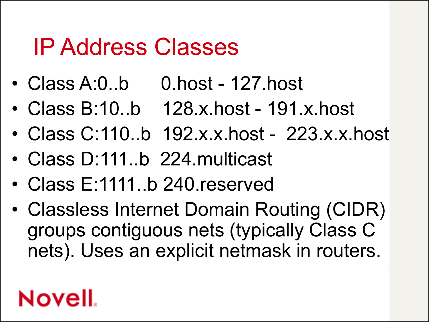#### IP Address Classes

- Class A:0..b 0.host 127.host
- Class B:10..b 128.x.host 191.x.host
- Class C:110..b 192.x.x.host 223.x.x.host
- Class D:111..b 224.multicast
- Class E:1111..b 240.reserved
- Classless Internet Domain Routing (CIDR) groups contiguous nets (typically Class C nets). Uses an explicit netmask in routers.

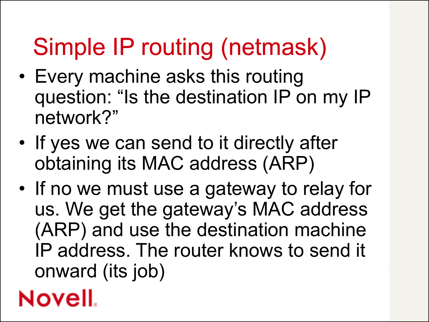# Simple IP routing (netmask)

- Every machine asks this routing question: "Is the destination IP on my IP network?"
- If yes we can send to it directly after obtaining its MAC address (ARP)
- If no we must use a gateway to relay for us. We get the gateway's MAC address (ARP) and use the destination machine IP address. The router knows to send it onward (its job)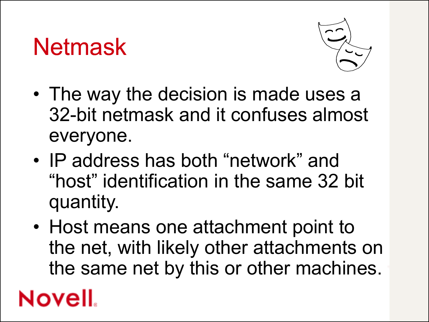#### Netmask



- The way the decision is made uses a 32-bit netmask and it confuses almost everyone.
- IP address has both "network" and "host" identification in the same 32 bit quantity.
- Host means one attachment point to the net, with likely other attachments on the same net by this or other machines.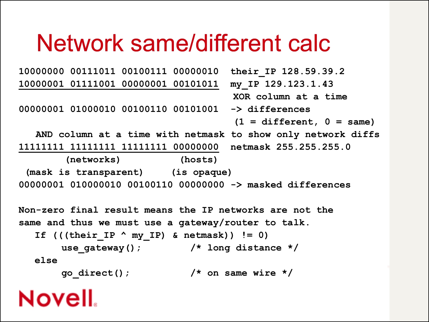#### Network same/different calc

```
10000000 00111011 00100111 00000010 their_IP 128.59.39.2
10000001 01111001 00000001 00101011 my_IP 129.123.1.43
                                     XOR column at a time
00000001 01000010 00100110 00101001 -> differences
                                     (1 = different, 0 = same)
  AND column at a time with netmask to show only network diffs
11111111 11111111 11111111 00000000 netmask 255.255.255.0
        (networks) (hosts)
 (mask is transparent) (is opaque)
00000001 010000010 00100110 00000000 -> masked differences
Non-zero final result means the IP networks are not the 
same and thus we must use a gateway/router to talk.
  If ((\text{their\_IP} \land my\_IP) \& \text{netmask})) != 0)use_gateway(); /* long distance */
  else
       go_direct(); /* on same wire */
```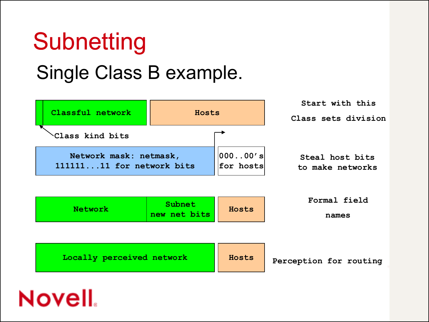### **Subnetting**

#### Single Class B example.

| Classful network                                    | Hosts                  |                          | Start with this<br>Class sets division |
|-----------------------------------------------------|------------------------|--------------------------|----------------------------------------|
| Class kind bits                                     |                        |                          |                                        |
| Network mask: netmask,<br>11111111 for network bits |                        | $ 00000'$ s<br>for hosts | Steal host bits<br>to make networks    |
| Network                                             | Subnet<br>new net bits | Hosts                    | Formal field<br>names                  |
|                                                     |                        |                          |                                        |
| Locally perceived network                           |                        | Hosts                    | Perception for routing                 |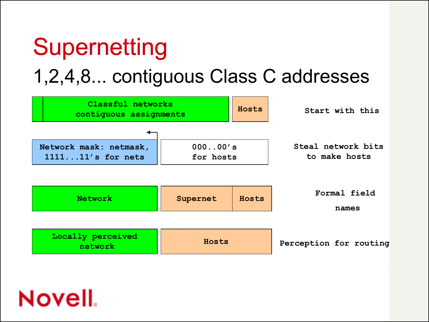# **Supernetting**

#### 1,2,4,8... contiguous Class C addresses

| Classful networks<br>contiguous assignments |                      | Hosts | Start with this                     |
|---------------------------------------------|----------------------|-------|-------------------------------------|
| Network mask: netmask,<br>111111's for nets | 00000's<br>for hosts |       | Steal network bits<br>to make hosts |
| <b>Network</b>                              | Supernet             | Hosts | Formal field<br>names               |
| Locally perceived<br>network                | Hosts                |       | Perception for routing              |

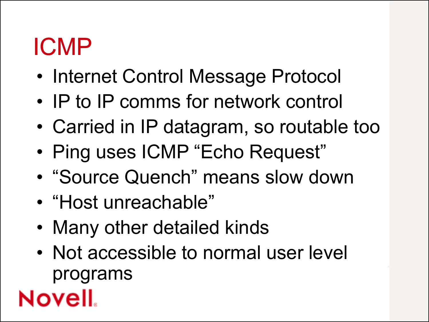#### ICMP

- Internet Control Message Protocol
- IP to IP comms for network control
- Carried in IP datagram, so routable too
- Ping uses ICMP "Echo Request"
- "Source Quench" means slow down
- "Host unreachable"
- Many other detailed kinds
- Not accessible to normal user level programs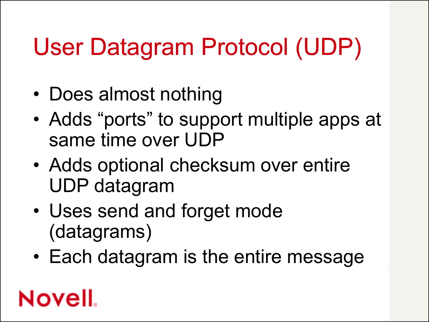# User Datagram Protocol (UDP)

- Does almost nothing
- Adds "ports" to support multiple apps at same time over UDP
- Adds optional checksum over entire UDP datagram
- Uses send and forget mode (datagrams)
- Each datagram is the entire message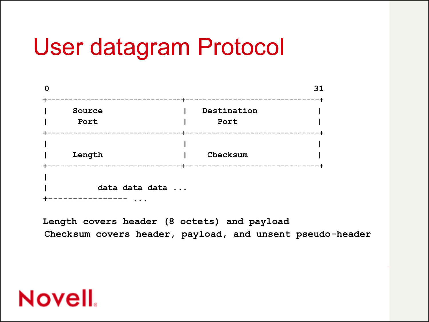#### User datagram Protocol

|                         |                         | 31          |
|-------------------------|-------------------------|-------------|
| -------+-               |                         | --------    |
| Source                  | Destination             |             |
| Port                    | Port                    |             |
| ---------+-             |                         | ----------- |
|                         |                         |             |
| Length                  | Checksum                |             |
| ----------------------- | ----------------------- |             |
|                         |                         |             |
| data data data          |                         |             |
| $\cdots$                |                         |             |

**Length covers header (8 octets) and payload Checksum covers header, payload, and unsent pseudo-header**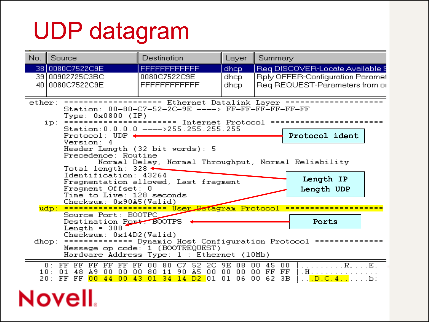### UDP datagram

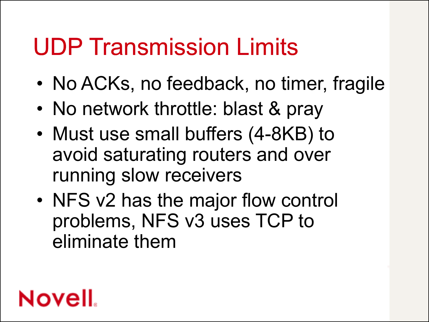#### UDP Transmission Limits

- No ACKs, no feedback, no timer, fragile
- No network throttle: blast & pray
- Must use small buffers (4-8KB) to avoid saturating routers and over running slow receivers
- NFS v2 has the major flow control problems, NFS v3 uses TCP to eliminate them

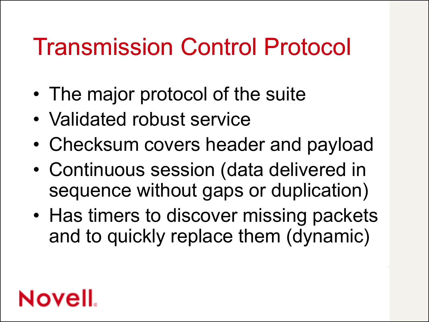### Transmission Control Protocol

- The major protocol of the suite
- Validated robust service
- Checksum covers header and payload
- Continuous session (data delivered in sequence without gaps or duplication)
- Has timers to discover missing packets and to quickly replace them (dynamic)

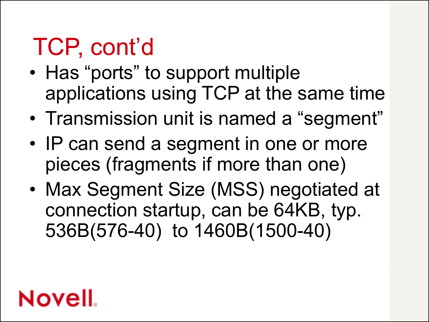- Has "ports" to support multiple applications using TCP at the same time
- Transmission unit is named a "segment"
- IP can send a segment in one or more pieces (fragments if more than one)
- Max Segment Size (MSS) negotiated at connection startup, can be 64KB, typ. 536B(576-40) to 1460B(1500-40)

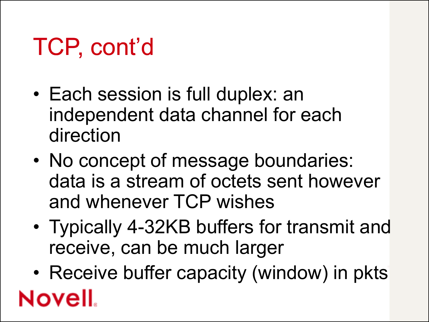- Each session is full duplex: an independent data channel for each direction
- No concept of message boundaries: data is a stream of octets sent however and whenever TCP wishes
- Typically 4-32KB buffers for transmit and receive, can be much larger
- Receive buffer capacity (window) in pkts Novell.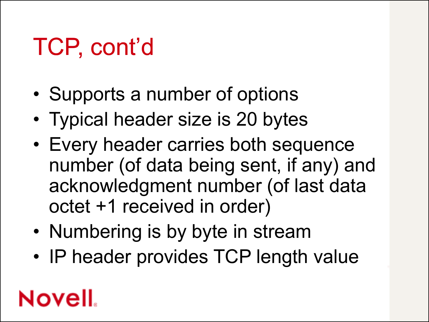- Supports a number of options
- Typical header size is 20 bytes
- Every header carries both sequence number (of data being sent, if any) and acknowledgment number (of last data octet +1 received in order)
- Numbering is by byte in stream
- IP header provides TCP length value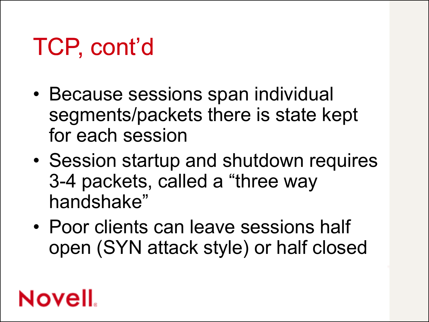- Because sessions span individual segments/packets there is state kept for each session
- Session startup and shutdown requires 3-4 packets, called a "three way handshake"
- Poor clients can leave sessions half open (SYN attack style) or half closed

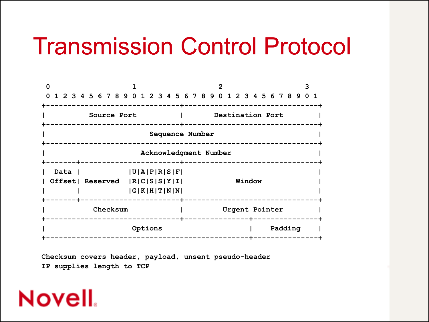#### Transmission Control Protocol

|  |                                     |  |  |             |  |  |         |  | 1 2 3 4 5 6 7 8 9 0 1 2 3 4 5 6 7 8 9 0 1 2 3 4 5 6 7 8 9 0 1 |  |  |  |        |  |                  |         |  |  |
|--|-------------------------------------|--|--|-------------|--|--|---------|--|---------------------------------------------------------------|--|--|--|--------|--|------------------|---------|--|--|
|  |                                     |  |  |             |  |  |         |  | ------------+-------                                          |  |  |  |        |  |                  |         |  |  |
|  |                                     |  |  | Source Port |  |  |         |  |                                                               |  |  |  |        |  | Destination Port |         |  |  |
|  |                                     |  |  |             |  |  |         |  |                                                               |  |  |  |        |  |                  |         |  |  |
|  |                                     |  |  |             |  |  |         |  | Sequence Number                                               |  |  |  |        |  |                  |         |  |  |
|  |                                     |  |  |             |  |  |         |  |                                                               |  |  |  |        |  |                  |         |  |  |
|  |                                     |  |  |             |  |  |         |  | Acknowledgment Number                                         |  |  |  |        |  |                  |         |  |  |
|  | ------+----------------             |  |  |             |  |  |         |  | -------------------------                                     |  |  |  |        |  |                  |         |  |  |
|  | Data I                              |  |  |             |  |  |         |  | U A P R S F                                                   |  |  |  |        |  |                  |         |  |  |
|  | Offset  Reserved   R  C  S  S  Y  I |  |  |             |  |  |         |  |                                                               |  |  |  | Window |  |                  |         |  |  |
|  |                                     |  |  |             |  |  |         |  | G K H T N N                                                   |  |  |  |        |  |                  |         |  |  |
|  | ----- <del>+---------------</del> - |  |  |             |  |  |         |  |                                                               |  |  |  |        |  |                  |         |  |  |
|  |                                     |  |  | Checksum    |  |  |         |  |                                                               |  |  |  |        |  | Urgent Pointer   |         |  |  |
|  |                                     |  |  |             |  |  |         |  |                                                               |  |  |  |        |  |                  |         |  |  |
|  |                                     |  |  |             |  |  | Options |  |                                                               |  |  |  |        |  |                  | Padding |  |  |
|  |                                     |  |  |             |  |  |         |  |                                                               |  |  |  |        |  |                  |         |  |  |

**Checksum covers header, payload, unsent pseudo-header IP supplies length to TCP**

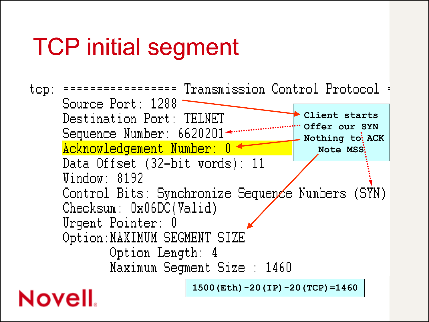### TCP initial segment

Transmission Control Protocol  $top$ :  $=$   $=$   $=$   $=$   $=$ Source Port: 1288 **Client starts** Destination Port: TELNET **Offer our SYN** Sequence Number: 66202014 **Nothing to ACK** Acknowledgement Number: 0 **Note MSS** Data Offset (32-bit words): 11 Window: 8192 Control Bits: Synchronize Sequence Numbers (SYN)  $Checksum: 0x06DC(Valid)$ Urgent Pointer: 0 Option: MAXIMUM SEGMENT SIZE Option Length: 4 Maximum Segment Size : 1460 **1500(Eth)-20(IP)-20(TCP)=1460Novell**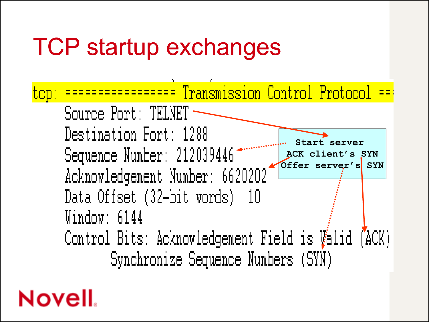

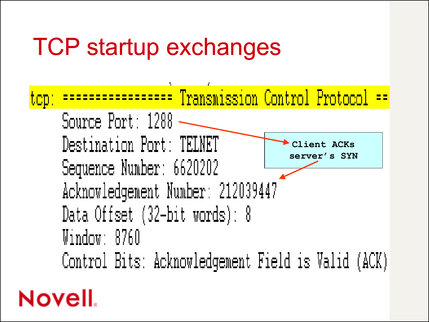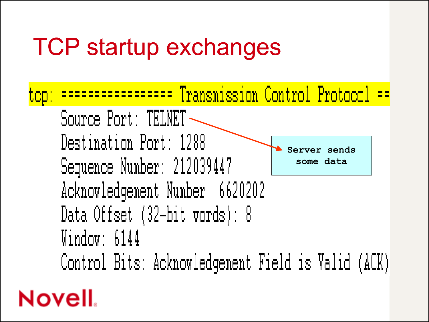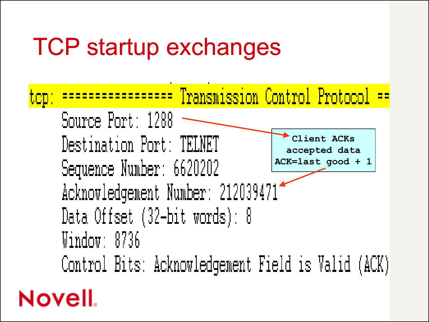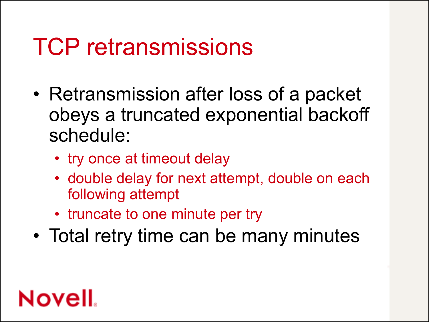### TCP retransmissions

- Retransmission after loss of a packet obeys a truncated exponential backoff schedule:
	- try once at timeout delay
	- double delay for next attempt, double on each following attempt
	- truncate to one minute per try
- Total retry time can be many minutes

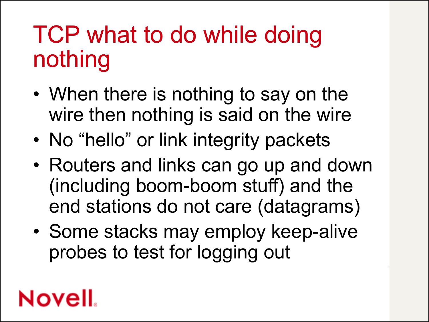### TCP what to do while doing nothing

- When there is nothing to say on the wire then nothing is said on the wire
- No "hello" or link integrity packets
- Routers and links can go up and down (including boom-boom stuff) and the end stations do not care (datagrams)
- Some stacks may employ keep-alive probes to test for logging out

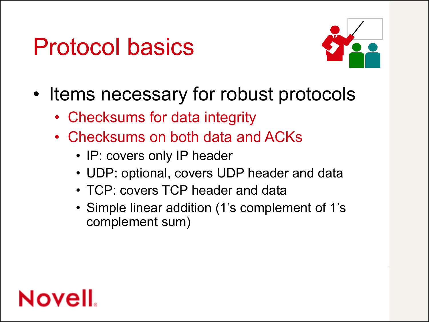

- Items necessary for robust protocols
	- Checksums for data integrity
	- Checksums on both data and ACKs
		- IP: covers only IP header
		- UDP: optional, covers UDP header and data
		- TCP: covers TCP header and data
		- Simple linear addition (1's complement of 1's complement sum)

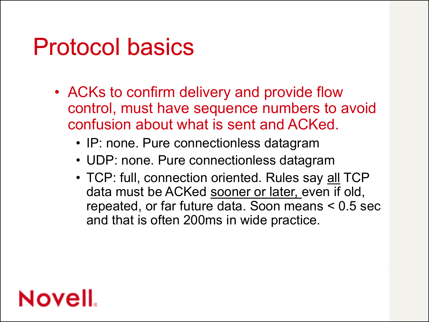- ACKs to confirm delivery and provide flow control, must have sequence numbers to avoid confusion about what is sent and ACKed.
	- IP: none. Pure connectionless datagram
	- UDP: none. Pure connectionless datagram
	- TCP: full, connection oriented. Rules say all TCP data must be ACKed sooner or later, even if old, repeated, or far future data. Soon means < 0.5 sec and that is often 200ms in wide practice.

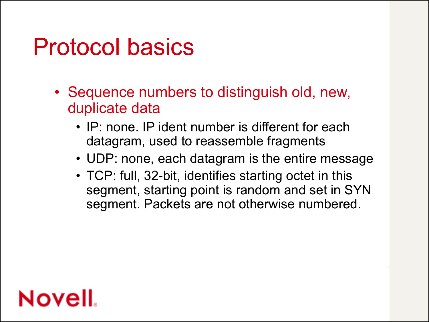- Sequence numbers to distinguish old, new, duplicate data
	- IP: none. IP ident number is different for each datagram, used to reassemble fragments
	- UDP: none, each datagram is the entire message
	- TCP: full, 32-bit, identifies starting octet in this segment, starting point is random and set in SYN segment. Packets are not otherwise numbered.

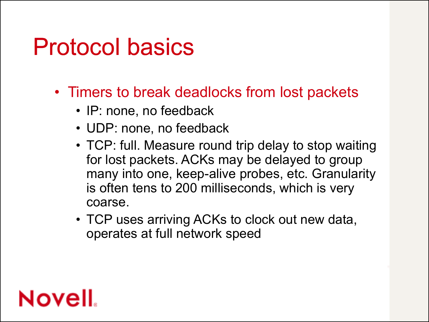- Timers to break deadlocks from lost packets
	- IP: none, no feedback
	- UDP: none, no feedback
	- TCP: full. Measure round trip delay to stop waiting for lost packets. ACKs may be delayed to group many into one, keep-alive probes, etc. Granularity is often tens to 200 milliseconds, which is very coarse.
	- TCP uses arriving ACKs to clock out new data, operates at full network speed

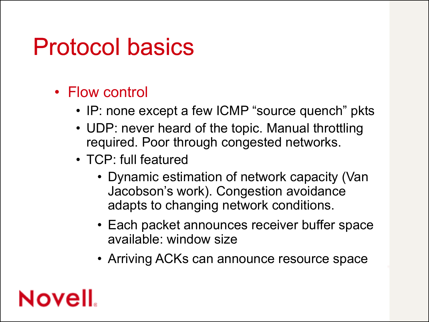- Flow control
	- IP: none except a few ICMP "source quench" pkts
	- UDP: never heard of the topic. Manual throttling required. Poor through congested networks.
	- TCP: full featured
		- Dynamic estimation of network capacity (Van Jacobson's work). Congestion avoidance adapts to changing network conditions.
		- Each packet announces receiver buffer space available: window size
		- Arriving ACKs can announce resource space

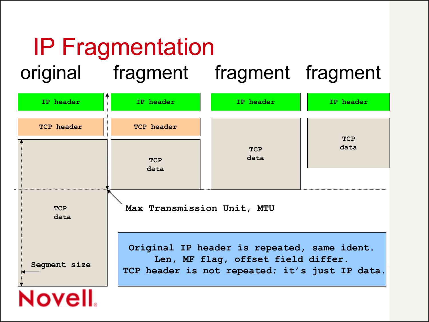#### IP Fragmentation original fragment fragment fragment

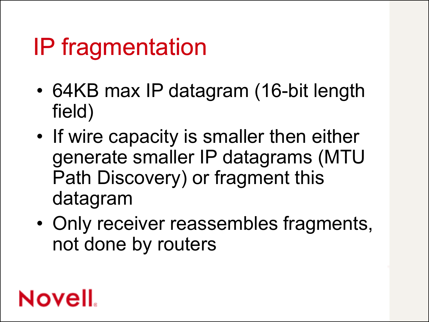### IP fragmentation

- 64KB max IP datagram (16-bit length field)
- If wire capacity is smaller then either generate smaller IP datagrams (MTU Path Discovery) or fragment this datagram
- Only receiver reassembles fragments, not done by routers

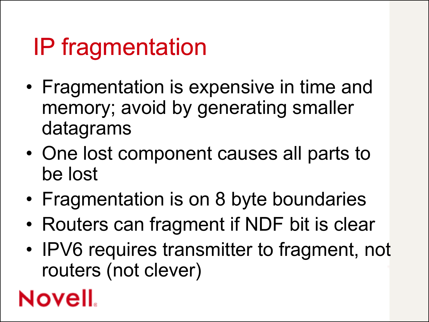### IP fragmentation

- Fragmentation is expensive in time and memory; avoid by generating smaller datagrams
- One lost component causes all parts to be lost
- Fragmentation is on 8 byte boundaries
- Routers can fragment if NDF bit is clear
- IPV6 requires transmitter to fragment, not routers (not clever)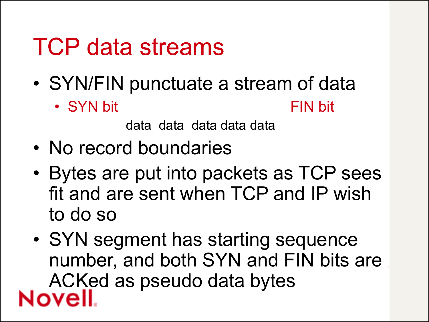#### TCP data streams

- SYN/FIN punctuate a stream of data
	- SYN bit FIN bit

data data data data data

- No record boundaries
- Bytes are put into packets as TCP sees fit and are sent when TCP and IP wish to do so
- SYN segment has starting sequence number, and both SYN and FIN bits are ACKed as pseudo data bytes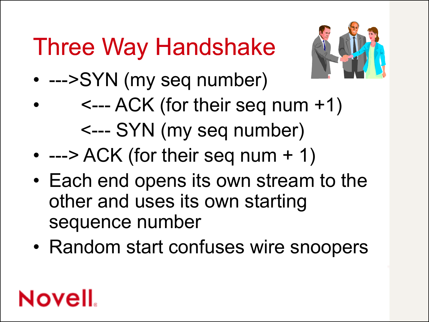# Three Way Handshake



- --->SYN (my seq number)
- $\leftarrow$  ACK (for their seq num  $+1$ ) <--- SYN (my seq number)
- $\bullet$  ---> ACK (for their seq num + 1)
- Each end opens its own stream to the other and uses its own starting sequence number
- Random start confuses wire snoopers

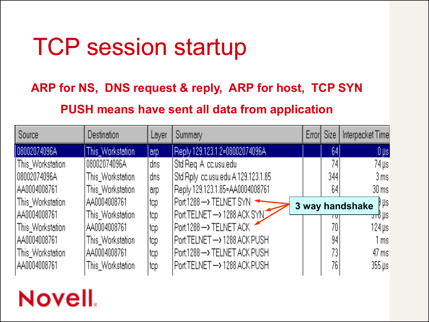### TCP session startup

#### **ARP for NS, DNS request & reply, ARP for host, TCP SYN PUSH means have sent all data from application**

| Source           | Destination      | Layer | Summary                            | Error Size | Interpacket Time                 |
|------------------|------------------|-------|------------------------------------|------------|----------------------------------|
| 08002074096A     | This_Workstation | arp   | Reply 129.123.1.2=08002074096A     | 641        | $0\,\mu s$                       |
| This_Workstation | 08002074096A     | dns   | Std Reg Allcclusuledul             | 741        | 74 µsl                           |
| 108002074096A    | This_Workstation | dns   | Std Rply cc.usu.edu A 129.123.1.85 | 3441       | 3 msl                            |
| IAA0004008761    | This Workstation | arp   | Reply 129.123.1.85=AA0004008761    | 64         | $30 \,\mathrm{ms}$               |
| This_Workstation | AA0004008761     | top   | Port:1288 -> TELNET SYN            |            | $\beta \mu s$<br>3 way handshake |
| IAA0004008761    | This Workstation | top   | Port:TELNET -> 1288 ACK SYN        |            | <del>ਹ</del> ⊤o µsi              |
| This_Workstation | AA0004008761     | top   | Port:1288 -> TELNET ACK            | 70.        | 124 µsl                          |
| IAA0004008761    | This Workstation | top   | Port:TELNET -> 1288 ACK PUSH       | 94         | 1 ms l                           |
| This_Workstation | AA0004008761     | top   | Port:1288 -> TELNET ACK PUSH       | 73.        | 47 ms                            |
| AA0004008761     | This Workstation | top   | Port:TELNET -> 1288 ACK PUSH       | 76.        | $355 \,\mathrm{\mu s}$           |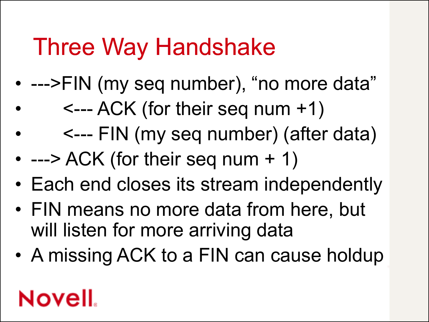#### Three Way Handshake

- --->FIN (my seq number), "no more data"
	- $\leftarrow$  ACK (for their seq num +1)
	- <--- FIN (my seq number) (after data)
- $\cdot$  ---> ACK (for their seq num + 1)
- Each end closes its stream independently
- FIN means no more data from here, but will listen for more arriving data
- A missing ACK to a FIN can cause holdup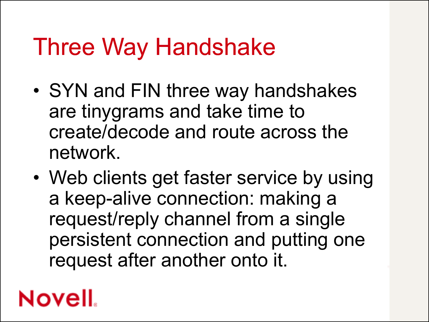#### Three Way Handshake

- SYN and FIN three way handshakes are tinygrams and take time to create/decode and route across the network.
- Web clients get faster service by using a keep-alive connection: making a request/reply channel from a single persistent connection and putting one request after another onto it.

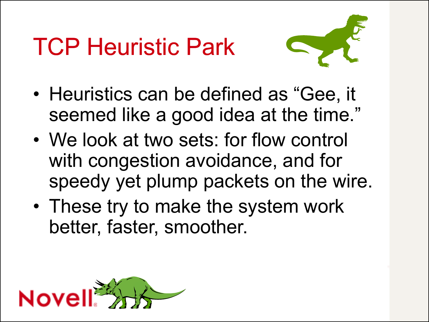# TCP Heuristic Park



- Heuristics can be defined as "Gee, it seemed like a good idea at the time."
- We look at two sets: for flow control with congestion avoidance, and for speedy yet plump packets on the wire.
- These try to make the system work better, faster, smoother.

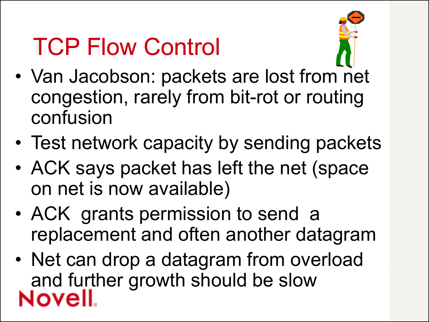### TCP Flow Control



- Van Jacobson: packets are lost from net congestion, rarely from bit-rot or routing confusion
- Test network capacity by sending packets
- ACK says packet has left the net (space on net is now available)
- ACK grants permission to send a replacement and often another datagram
- Net can drop a datagram from overload and further growth should be slow<br>Novell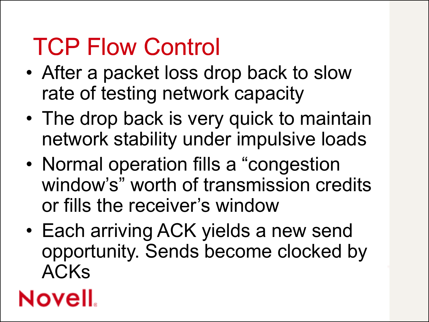### TCP Flow Control

- After a packet loss drop back to slow rate of testing network capacity
- The drop back is very quick to maintain network stability under impulsive loads
- Normal operation fills a "congestion" window's" worth of transmission credits or fills the receiver's window
- Each arriving ACK yields a new send opportunity. Sends become clocked by ACKs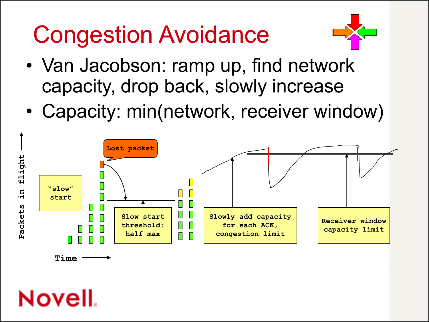# Congestion Avoidance



- Van Jacobson: ramp up, find network capacity, drop back, slowly increase
- Capacity: min(network, receiver window)

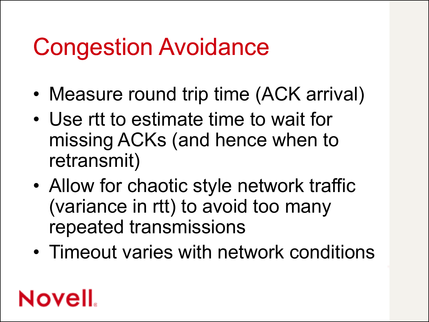#### Congestion Avoidance

- Measure round trip time (ACK arrival)
- Use rtt to estimate time to wait for missing ACKs (and hence when to retransmit)
- Allow for chaotic style network traffic (variance in rtt) to avoid too many repeated transmissions
- Timeout varies with network conditions

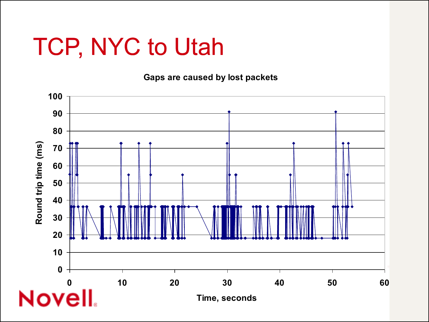#### TCP, NYC to Utah

**Gaps are caused by lost packets**

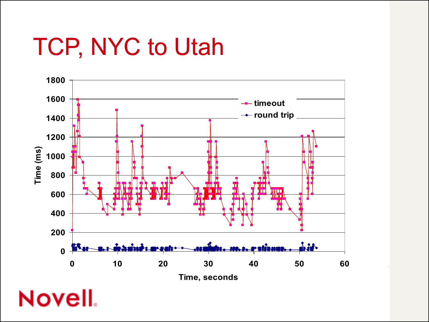### TCP, NYC to Utah

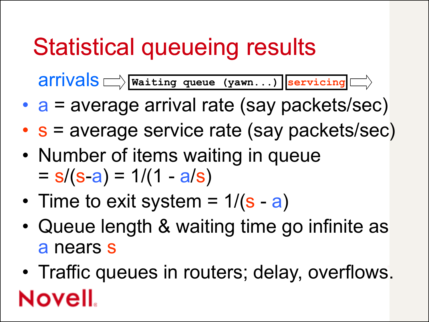### Statistical queueing results

arrivals **Waiting queue (yawn...) servicing**

- a = average arrival rate (say packets/sec)
- s = average service rate (say packets/sec)
- Number of items waiting in queue  $= s/(s-a) = 1/(1 - a/s)$
- Time to exit system =  $1/(\mathbf{s} \mathbf{a})$
- Queue length & waiting time go infinite as a nears s
- Traffic queues in routers; delay, overflows. Novell.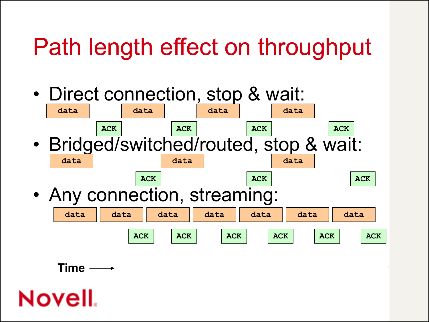### Path length effect on throughput

- Direct connection, stop & wait: • Bridged/switched/routed, stop & wait: • Any connection, streaming: **data ACK ACK** data | data | data **ACK data data data data ACK ACK ACK data data data data data data data ACK ACK ACK ACK ACK ACK ACK**
	- **Time**

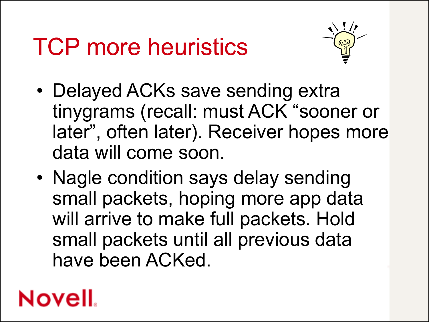### TCP more heuristics



- Delayed ACKs save sending extra tinygrams (recall: must ACK "sooner or later", often later). Receiver hopes more data will come soon.
- Nagle condition says delay sending small packets, hoping more app data will arrive to make full packets. Hold small packets until all previous data have been ACKed.

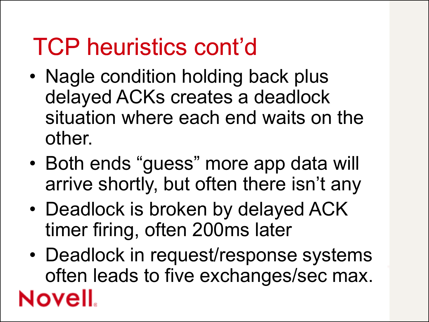#### TCP heuristics cont'd

- Nagle condition holding back plus delayed ACKs creates a deadlock situation where each end waits on the other.
- Both ends "guess" more app data will arrive shortly, but often there isn't any
- Deadlock is broken by delayed ACK timer firing, often 200ms later
- Deadlock in request/response systems often leads to five exchanges/sec max.Novell.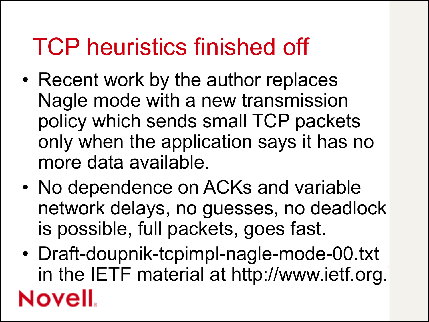#### TCP heuristics finished off

- Recent work by the author replaces Nagle mode with a new transmission policy which sends small TCP packets only when the application says it has no more data available.
- No dependence on ACKs and variable network delays, no guesses, no deadlock is possible, full packets, goes fast.
- Draft-doupnik-tcpimpl-nagle-mode-00.txt in the IETF material at http://www.ietf.org.Novell.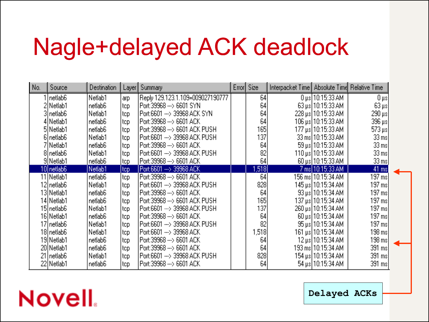#### Nagle+delayed ACK deadlock

| No. | Source                | Destination | Layer | Summary                          | Error Size | Interpacket Time Absolute Time Relative Time |                                          |                          |  |
|-----|-----------------------|-------------|-------|----------------------------------|------------|----------------------------------------------|------------------------------------------|--------------------------|--|
|     | Inetlab6              | Netlab1     | arp   | Reply 129.123.1.109=009027190777 | 64         |                                              | $0\,\mu\mathrm{s}$   $10$ :15:33 AM $\,$ | 0 µs                     |  |
|     | 2 Netlab1             | netlab6     | top   | Port:39968 ---> 6601 SYN         | 64         |                                              | 63 µs 10:15:33 AM                        | $63 \,\mathrm{\upmu s}$  |  |
|     | 3  netlab6            | Netlab1     | top   | Port:6601 --- > 39968 ACK SYN    | 64         |                                              | 228 µs 10:15:33 AM                       | $290 \,\mathrm{\upmu s}$ |  |
|     | 4 Netlab1             | netlab6     | top   | Port:39968 --- > 6601 ACK        | 64         |                                              | 106 μs  10:15:33 AM                      | 396 µs                   |  |
|     | 5 Netlab1             | netlab6     | top   | Port:39968 ---> 6601 ACK PUSH    | 165        |                                              | 177 μs 10:15:33 AM                       | 573 µs                   |  |
|     | 6   netlab6           | Netlab1     | top   | Port:6601 --- > 39968 ACK PUSH   | 137        |                                              | 33 ms 10:15:33 AM                        | 33 msl                   |  |
|     | 7 Netlab1             | netlab6     | top   | Port:39968 --- > 6601 ACK        | 64         |                                              | 59 µs 10:15:33 AM                        | 33 ms                    |  |
|     | 8 netlab <sub>6</sub> | Netlab1     | top   | Port:6601 --- > 39968 ACK PUSH   | 82         |                                              | 110 μs 10:15:33 AM                       | 33 ms                    |  |
|     | 9 Netlab1             | netlab6     | top   | Port:39968 ---> 6601 ACK         | 64         |                                              | 60 µs 10:15:33 AM                        | 33 ms                    |  |
|     | 10 netlab6            | Netlab1     | top   | Port:6601 --- > 39968 ACK        | 1,518      |                                              | 7 ms 10:15:33 AM                         | 41 ms                    |  |
|     | 11 Netlab1            | netlab6     | top   | Port:39968 --- > 6601 ACK        | 64         |                                              | 156 ms  10:15:34 AM .                    | 197 ms                   |  |
|     | 12   netlab6          | Netlab1     | top   | Port:6601 ---> 39968 ACK PUSH    | 828        |                                              | 145 μs 10:15:34 AM                       | 197 ms                   |  |
|     | 13 Netlab1            | netlab6     | top   | Port:39968 --- > 6601 ACK        | 64         |                                              | 93 µs 10:15:34 AM                        | 197 ms                   |  |
|     | 14 Netlab1            | netlab6     | top   | Port:39968 ---> 6601 ACK PUSH    | 165        |                                              | 137 μs 10:15:34 AM                       | 197 msl                  |  |
|     | 15  netlab6           | Netlab1     | top   | Port:6601 ---> 39968 ACK PUSH    | 137        |                                              | 260 μs 10:15:34 AM                       | 197 ms                   |  |
|     | 16 Netlab1            | netlab6     | top   | Port:39968 ---> 6601 ACK         | 64         |                                              | 60 µs 10:15:34 AM                        | 197 ms                   |  |
|     | 17 netlab6            | Netlab1     | top   | Port:6601 ---> 39968 ACK PUSH    | 82         |                                              | 95 µs 10:15:34 AM                        | 197 ms                   |  |
|     | 18 netlab6            | Netlab1     | top   | Port:6601 --- > 39968 ACK        | 1,518      |                                              | 161 μs 10:15:34 AM                       | 198 ms                   |  |
|     | 19 Netlab1            | netlab6     | top   | Port:39968 --- > 6601 ACK        | 64         |                                              | 12 μs  10:15:34 AM                       | 198 ms                   |  |
|     | 20 Netlab1            | netlab6     | top   | Port:39968 --- > 6601 ACK        | 64         |                                              | 193 ms  10:15:34 AM                      | 391 msl                  |  |
|     | 21   netlab6          | Netlab1     | top   | Port:6601 ---> 39968 ACK PUSH    | 828        |                                              | 154 μs 10:15:34 AM                       | 391 ms                   |  |
|     | 22 Netlab1            | netlab6     | top   | Port:39968 --- > 6601 ACK        | 64         |                                              | 54 µs 10:15:34 AM                        | 391 ms                   |  |

**Novell** 

**Delayed ACKs**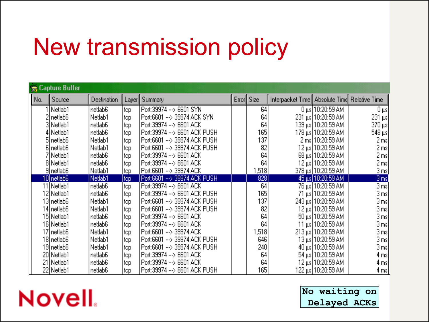### New transmission policy

|     | <b>Capture Buffer</b> |             |       |                                |       |       |                                              |                         |                           |
|-----|-----------------------|-------------|-------|--------------------------------|-------|-------|----------------------------------------------|-------------------------|---------------------------|
| No. | Source                | Destination | Layer | Summary                        | Error | Size  | Interpacket Time Absolute Time Relative Time |                         |                           |
|     | 1   Netlab1           | netlab6     | top.  | Port:39974 ---> 6601 SYN       |       | 64    |                                              | $0 \mu s$   10:20:59 AM | 0 µs                      |
|     | netlab6               | Netlab1     | tcp.  | Port:6601 ---> 39974 ACK SYN   |       | 64    |                                              | 231 µs 10:20:59 AM      | $231 \text{ }\mu\text{s}$ |
|     | 3 Netlab1             | netlab6     | tep   | Port:39974 ---> 6601 ACK       |       | 64    |                                              | 139 μs 10:20:59 AM      | $370 \,\mathrm{\upmu s}$  |
|     | 4 Netlab1             | netlab6     | top   | Port:39974 ---> 6601 ACK PUSH  |       | 165   |                                              |                         | 548 μs                    |
|     | 5 netlab <sub>6</sub> | Netlab1     | top   | Port:6601 ---> 39974 ACK PUSH  |       | 137   |                                              | 2 ms 10:20:59 AM        | 2 ms                      |
|     | 6 netlab6             | Netlab1     | top   | Port:6601 ---> 39974 ACK PUSH  |       | 82    |                                              | 12 μs 10:20:59 AM       | 2 msl                     |
|     | 7 Netlab1             | netlab6     | top   | Port:39974 ---> 6601 ACK       |       | 64    |                                              | 68 µs 10:20:59 AM       | 2 ms                      |
|     | 8 Netlab1             | netlab6     | top   | Port:39974 ---> 6601 ACK       |       | 64    |                                              | 12 μs 10:20:59 AM       | 2 msl                     |
|     | 9 netlab6             | Netlab1     | tep   | Port:6601 ---> 39974 ACK       |       | 1,518 |                                              | 378 μs  10:20:59 AM     | 3 ms                      |
|     | 10 netlab6            | Netlab1     | top.  | Port:6601 ---> 39974 ACK PUSH  |       | 828   |                                              | 45 µs 10:20:59 AM       | 3 ms                      |
|     | 11 Netlab1            | netlab6     | top   | Port:39974 ---> 6601 ACK       |       | 64    |                                              | 76 μs 10:20:59 AM       | 3 ms                      |
|     | 12 Netlab1            | netlab6     | top   | Port:39974 ---> 6601 ACK PUSH  |       | 165   |                                              | 71 µs 10:20:59 AM       | 3 ms                      |
|     | 13  netlab6           | Netlab1     | top   | Port:6601 --- > 39974 ACK PUSH |       | 137   |                                              | 243 μs  10:20:59 AM     | 3 ms                      |
|     | 14  netlab6           | Netlab1     | top   | Port:6601 ---> 39974 ACK PUSH  |       | 82    |                                              | 12 μs 10:20:59 AM       | 3 ms                      |
|     | 15 Netlab1            | netlab6     | top   | Port:39974 ---> 6601 ACK       |       | 64    |                                              | 50 µs 10:20:59 AM       | 3 ms                      |
|     | 16 Netlab1            | netlab6     | top   | Port:39974 ---> 6601 ACK       |       | 64    |                                              | 11 μs 10:20:59 AM       | 3 ms                      |
|     | 17  netlab6           | Netlab1     | tep   | Port:6601 ---> 39974 ACK       |       | 1,518 |                                              | 213 µs 10:20:59 AM      | 3 ms                      |
|     | 18 netlab6            | Netlab1     | tep   | Port:6601 ---> 39974 ACK PUSH  |       | 646)  |                                              | 13 μs  10:20:59 AM      | 3 ms                      |
|     | 19  netlab6           | Netlab1     | top.  | Port:6601 ---> 39974 ACK PUSH  |       | 240   |                                              | 40 μs 10:20:59 AM       | 3 ms                      |
|     | 20 Netlab1            | netlab6     | top   | Port:39974 ---> 6601 ACK       |       | 64    |                                              | 54 µs 10:20:59 AM       | 4 ms                      |
|     | 21   Netlab1          | netlab6     | top   | Port:39974 --- > 6601 ACK      |       | 64    |                                              | 12 μs 10:20:59 AM       | 4 msl                     |
|     | 22 Netlab1            | netlab6     | top   | Port:39974 ---> 6601 ACK PUSH  |       | 165   |                                              | 122 μs 10:20:59 AM      | 4 ms                      |

#### **Novell**

**No waiting on Delayed ACKs**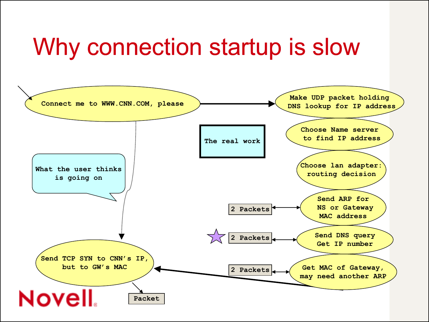#### Why connection startup is slow

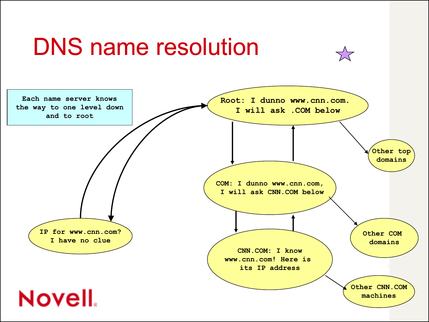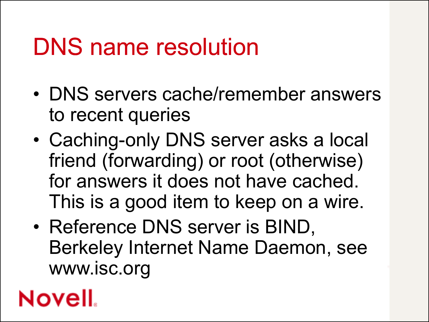#### DNS name resolution

- DNS servers cache/remember answers to recent queries
- Caching-only DNS server asks a local friend (forwarding) or root (otherwise) for answers it does not have cached. This is a good item to keep on a wire.
- Reference DNS server is BIND, Berkeley Internet Name Daemon, see www.isc.org

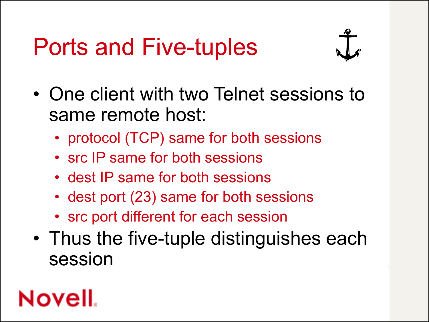### Ports and Five-tuples



- One client with two Telnet sessions to same remote host:
	- protocol (TCP) same for both sessions
	- src IP same for both sessions
	- dest IP same for both sessions
	- dest port (23) same for both sessions
	- src port different for each session
- Thus the five-tuple distinguishes each session

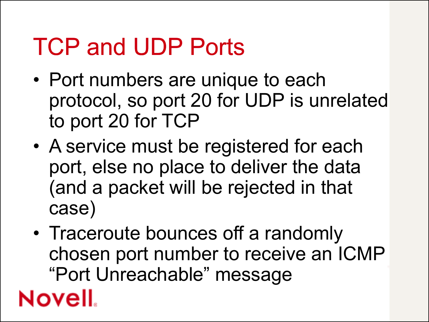### TCP and UDP Ports

- Port numbers are unique to each protocol, so port 20 for UDP is unrelated to port 20 for TCP
- A service must be registered for each port, else no place to deliver the data (and a packet will be rejected in that case)
- Traceroute bounces off a randomly chosen port number to receive an ICMP "Port Unreachable" message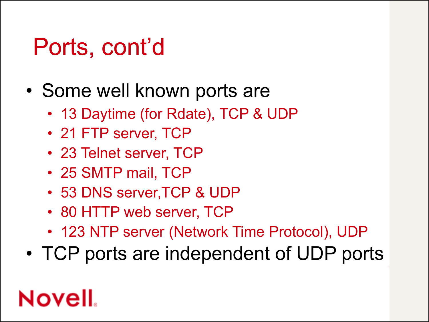#### Ports, cont'd

- Some well known ports are
	- 13 Daytime (for Rdate), TCP & UDP
	- 21 FTP server, TCP
	- 23 Telnet server, TCP
	- 25 SMTP mail, TCP
	- 53 DNS server,TCP & UDP
	- 80 HTTP web server, TCP
	- 123 NTP server (Network Time Protocol), UDP
- TCP ports are independent of UDP ports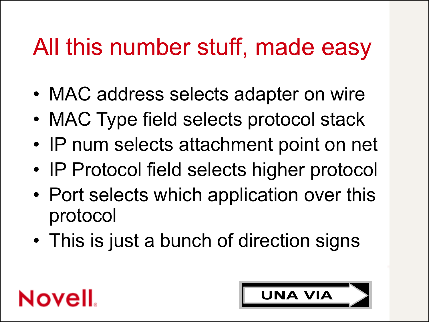### All this number stuff, made easy

- MAC address selects adapter on wire
- MAC Type field selects protocol stack
- IP num selects attachment point on net
- IP Protocol field selects higher protocol
- Port selects which application over this protocol
- This is just a bunch of direction signs